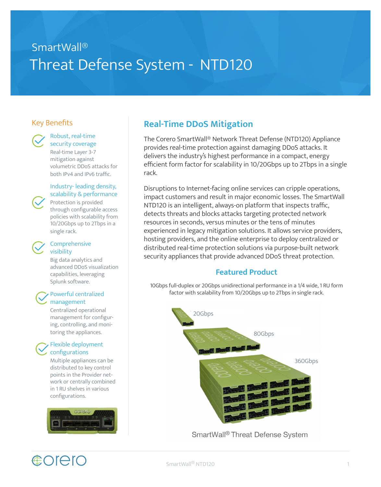# SmartWall® Threat Defense System - NTD120

### Key Benefits



#### Robust, real-time security coverage

Real-time Layer 3-7 mitigation against volumetric DDoS attacks for both IPv4 and IPv6 traffic.

#### Industry- leading density, scalability & performance

Protection is provided through configurable access policies with scalability from 10/20Gbps up to 2Tbps in a single rack.

#### Comprehensive visibility

Big data analytics and advanced DDoS visualization capabilities, leveraging Splunk software.

#### Powerful centralized management

Centralized operational management for configuring, controlling, and monitoring the appliances.

#### Flexible deployment configurations

Multiple appliances can be distributed to key control points in the Provider network or centrally combined in 1 RU shelves in various configurations.



**COrero** 

## **Real-Time DDoS Mitigation**

The Corero SmartWall® Network Threat Defense (NTD120) Appliance provides real-time protection against damaging DDoS attacks. It delivers the industry's highest performance in a compact, energy efficient form factor for scalability in 10/20Gbps up to 2Tbps in a single rack.

Disruptions to Internet-facing online services can cripple operations, impact customers and result in major economic losses. The SmartWall NTD120 is an intelligent, always-on platform that inspects traffic, detects threats and blocks attacks targeting protected network resources in seconds, versus minutes or the tens of minutes experienced in legacy mitigation solutions. It allows service providers, hosting providers, and the online enterprise to deploy centralized or distributed real-time protection solutions via purpose-built network security appliances that provide advanced DDoS threat protection.

### **Featured Product**

10Gbps full-duplex or 20Gbps unidirectional performance in a 1/4 wide, 1 RU form factor with scalability from 10/20Gbps up to 2Tbps in single rack.



SmartWall® Threat Defense System

#### SmartWall® NTD120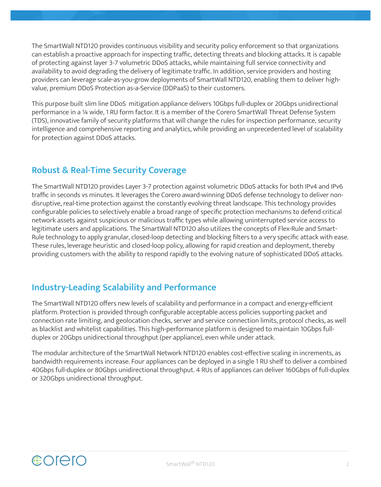The SmartWall NTD120 provides continuous visibility and security policy enforcement so that organizations can establish a proactive approach for inspecting traffic, detecting threats and blocking attacks. It is capable of protecting against layer 3-7 volumetric DDoS attacks, while maintaining full service connectivity and availability to avoid degrading the delivery of legitimate traffic. In addition, service providers and hosting providers can leverage scale-as-you-grow deployments of SmartWall NTD120, enabling them to deliver highvalue, premium DDoS Protection as-a-Service (DDPaaS) to their customers.

This purpose built slim line DDoS mitigation appliance delivers 10Gbps full-duplex or 20Gbps unidirectional performance in a ¼ wide, 1 RU form factor. It is a member of the Corero SmartWall Threat Defense System (TDS), innovative family of security platforms that will change the rules for inspection performance, security intelligence and comprehensive reporting and analytics, while providing an unprecedented level of scalability for protection against DDoS attacks.

### **Robust & Real-Time Security Coverage**

The SmartWall NTD120 provides Layer 3-7 protection against volumetric DDoS attacks for both IPv4 and IPv6 traffic in seconds vs minutes. It leverages the Corero award-winning DDoS defense technology to deliver nondisruptive, real-time protection against the constantly evolving threat landscape. This technology provides configurable policies to selectively enable a broad range of specific protection mechanisms to defend critical network assets against suspicious or malicious traffic types while allowing uninterrupted service access to legitimate users and applications. The SmartWall NTD120 also utilizes the concepts of Flex-Rule and Smart-Rule technology to apply granular, closed-loop detecting and blocking filters to a very specific attack with ease. These rules, leverage heuristic and closed-loop policy, allowing for rapid creation and deployment, thereby providing customers with the ability to respond rapidly to the evolving nature of sophisticated DDoS attacks.

### **Industry-Leading Scalability and Performance**

The SmartWall NTD120 offers new levels of scalability and performance in a compact and energy-efficient platform. Protection is provided through configurable acceptable access policies supporting packet and connection rate limiting, and geolocation checks, server and service connection limits, protocol checks, as well as blacklist and whitelist capabilities. This high-performance platform is designed to maintain 10Gbps fullduplex or 20Gbps unidirectional throughput (per appliance), even while under attack.

The modular architecture of the SmartWall Network NTD120 enables cost-effective scaling in increments, as bandwidth requirements increase. Four appliances can be deployed in a single 1 RU shelf to deliver a combined 40Gbps full-duplex or 80Gbps unidirectional throughput. 4 RUs of appliances can deliver 160Gbps of full-duplex or 320Gbps unidirectional throughput.

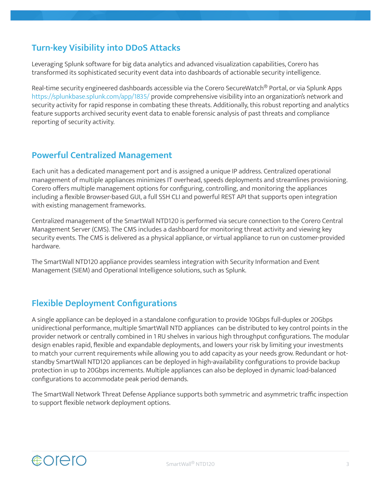### **Turn-key Visibility into DDoS Attacks**

Leveraging Splunk software for big data analytics and advanced visualization capabilities, Corero has transformed its sophisticated security event data into dashboards of actionable security intelligence.

Real-time security engineered dashboards accessible via the Corero SecureWatch® Portal, or via Splunk Apps https://splunkbase.splunk.com/app/1835/ provide comprehensive visibility into an organization's network and security activity for rapid response in combating these threats. Additionally, this robust reporting and analytics feature supports archived security event data to enable forensic analysis of past threats and compliance reporting of security activity.

### **Powerful Centralized Management**

Each unit has a dedicated management port and is assigned a unique IP address. Centralized operational management of multiple appliances minimizes IT overhead, speeds deployments and streamlines provisioning. Corero offers multiple management options for configuring, controlling, and monitoring the appliances including a flexible Browser-based GUI, a full SSH CLI and powerful REST API that supports open integration with existing management frameworks.

Centralized management of the SmartWall NTD120 is performed via secure connection to the Corero Central Management Server (CMS). The CMS includes a dashboard for monitoring threat activity and viewing key security events. The CMS is delivered as a physical appliance, or virtual appliance to run on customer-provided hardware.

The SmartWall NTD120 appliance provides seamless integration with Security Information and Event Management (SIEM) and Operational Intelligence solutions, such as Splunk.

### **Flexible Deployment Configurations**

A single appliance can be deployed in a standalone configuration to provide 10Gbps full-duplex or 20Gbps unidirectional performance, multiple SmartWall NTD appliances can be distributed to key control points in the provider network or centrally combined in 1 RU shelves in various high throughput configurations. The modular design enables rapid, flexible and expandable deployments, and lowers your risk by limiting your investments to match your current requirements while allowing you to add capacity as your needs grow. Redundant or hotstandby SmartWall NTD120 appliances can be deployed in high-availability configurations to provide backup protection in up to 20Gbps increments. Multiple appliances can also be deployed in dynamic load-balanced configurations to accommodate peak period demands.

The SmartWall Network Threat Defense Appliance supports both symmetric and asymmetric traffic inspection to support flexible network deployment options.

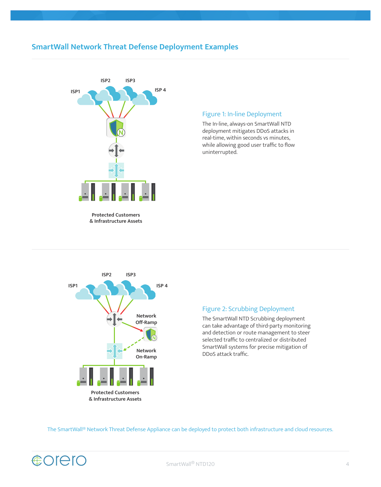### **SmartWall Network Threat Defense Deployment Examples**



**Protected Customers & Infrastructure Assets**

#### Figure 1: In-line Deployment

The In-line, always-on SmartWall NTD deployment mitigates DDoS attacks in real-time, within seconds vs minutes, while allowing good user traffic to flow uninterrupted.



#### Figure 2: Scrubbing Deployment

The SmartWall NTD Scrubbing deployment can take advantage of third-party monitoring and detection or route management to steer selected traffic to centralized or distributed SmartWall systems for precise mitigation of DDoS attack traffic.

The SmartWall® Network Threat Defense Appliance can be deployed to protect both infrastructure and cloud resources.

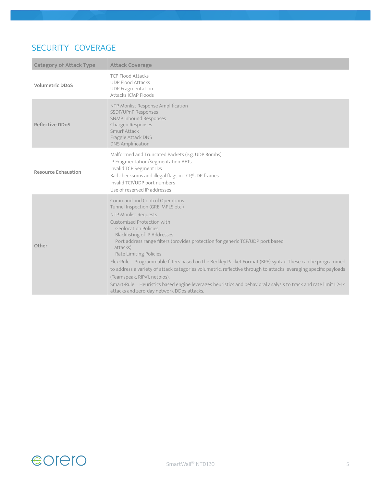### SECURITY COVERAGE

| <b>Category of Attack Type</b> | <b>Attack Coverage</b>                                                                                                                                                                                                                                                                                                                                                                                                                                                                                                                                                                                                                                                                                                                                     |  |
|--------------------------------|------------------------------------------------------------------------------------------------------------------------------------------------------------------------------------------------------------------------------------------------------------------------------------------------------------------------------------------------------------------------------------------------------------------------------------------------------------------------------------------------------------------------------------------------------------------------------------------------------------------------------------------------------------------------------------------------------------------------------------------------------------|--|
| <b>Volumetric DDoS</b>         | <b>TCP Flood Attacks</b><br><b>UDP Flood Attacks</b><br><b>UDP Fragmentation</b><br>Attacks ICMP Floods                                                                                                                                                                                                                                                                                                                                                                                                                                                                                                                                                                                                                                                    |  |
| <b>Reflective DDoS</b>         | NTP Monlist Response Amplification<br>SSDP/UPnP Responses<br><b>SNMP Inbound Responses</b><br>Chargen Responses<br>Smurf Attack<br>Fraggle Attack DNS<br><b>DNS Amplification</b>                                                                                                                                                                                                                                                                                                                                                                                                                                                                                                                                                                          |  |
| <b>Resource Exhaustion</b>     | Malformed and Truncated Packets (e.g. UDP Bombs)<br>IP Fragmentation/Segmentation AETs<br>Invalid TCP Segment IDs<br>Bad checksums and illegal flags in TCP/UDP frames<br>Invalid TCP/UDP port numbers<br>Use of reserved IP addresses                                                                                                                                                                                                                                                                                                                                                                                                                                                                                                                     |  |
| Other                          | Command and Control Operations<br>Tunnel Inspection (GRE, MPLS etc.)<br>NTP Monlist Requests<br>Customized Protection with<br><b>Geolocation Policies</b><br><b>Blacklisting of IP Addresses</b><br>Port address range filters (provides protection for generic TCP/UDP port based<br>attacks)<br>Rate Limiting Policies<br>Flex-Rule - Programmable filters based on the Berkley Packet Format (BPF) syntax. These can be programmed<br>to address a variety of attack categories volumetric, reflective through to attacks leveraging specific payloads<br>(Teamspeak, RIPv1, netbios).<br>Smart-Rule - Heuristics based engine leverages heuristics and behavioral analysis to track and rate limit L2-L4<br>attacks and zero-day network DDos attacks. |  |

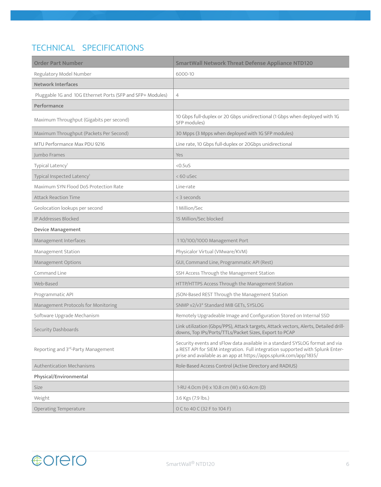## TECHNICAL SPECIFICATIONS

| <b>Order Part Number</b>                                   | <b>SmartWall Network Threat Defense Appliance NTD120</b>                                                                                                                                                                             |
|------------------------------------------------------------|--------------------------------------------------------------------------------------------------------------------------------------------------------------------------------------------------------------------------------------|
| Regulatory Model Number                                    | 6000-10                                                                                                                                                                                                                              |
| <b>Network Interfaces</b>                                  |                                                                                                                                                                                                                                      |
| Pluggable 1G and 10G Ethernet Ports (SFP and SFP+ Modules) | 4                                                                                                                                                                                                                                    |
| Performance                                                |                                                                                                                                                                                                                                      |
| Maximum Throughput (Gigabits per second)                   | 10 Gbps full-duplex or 20 Gbps unidirectional (1 Gbps when deployed with 1G<br>SFP modules)                                                                                                                                          |
| Maximum Throughput (Packets Per Second)                    | 30 Mpps (3 Mpps when deployed with 1G SFP modules)                                                                                                                                                                                   |
| MTU Performance Max PDU 9216                               | Line rate, 10 Gbps full-duplex or 20Gbps unidirectional                                                                                                                                                                              |
| Jumbo Frames                                               | Yes                                                                                                                                                                                                                                  |
| Typical Latency <sup>1</sup>                               | $< 0.5$ uS                                                                                                                                                                                                                           |
| Typical Inspected Latency <sup>1</sup>                     | $< 60$ uSec                                                                                                                                                                                                                          |
| Maximum SYN Flood DoS Protection Rate                      | Line-rate                                                                                                                                                                                                                            |
| <b>Attack Reaction Time</b>                                | < 3 seconds                                                                                                                                                                                                                          |
| Geolocation lookups per second                             | 1 Million/Sec                                                                                                                                                                                                                        |
| IP Addresses Blocked                                       | 15 Million/Sec blocked                                                                                                                                                                                                               |
| <b>Device Management</b>                                   |                                                                                                                                                                                                                                      |
| Management Interfaces                                      | 110/100/1000 Management Port                                                                                                                                                                                                         |
| Management Station                                         | Physicalor Virtual (VMware/KVM)                                                                                                                                                                                                      |
| Management Options                                         | GUI, Command Line, Programmatic API (Rest)                                                                                                                                                                                           |
| Command Line                                               | SSH Access Through the Management Station                                                                                                                                                                                            |
| Web-Based                                                  | HTTP/HTTPS Access Through the Management Station                                                                                                                                                                                     |
| Programmatic API                                           | JSON-Based REST Through the Management Station                                                                                                                                                                                       |
| Management Protocols for Monitoring                        | SNMP v2/v3* Standard MIB GETs, SYSLOG                                                                                                                                                                                                |
| Software Upgrade Mechanism                                 | Remotely Upgradeable Image and Configuration Stored on Internal SSD                                                                                                                                                                  |
| Security Dashboards                                        | Link utilization (Gbps/PPS), Attack targets, Attack vectors, Alerts, Detailed drill-<br>downs, Top IPs/Ports/TTLs/Packet Sizes, Export to PCAP                                                                                       |
| Reporting and 3rd-Party Management                         | Security events and sFlow data available in a standard SYSLOG format and via<br>a REST API for SIEM integration. Full integration supported with Splunk Enter-<br>prise and available as an app at https://apps.splunk.com/app/1835/ |
| <b>Authentication Mechanisms</b>                           | Role-Based Access Control (Active Directory and RADIUS)                                                                                                                                                                              |
| Physical/Environmental                                     |                                                                                                                                                                                                                                      |
| Size                                                       | 1-RU 4.0cm (H) x 10.8 cm (W) x 60.4cm (D)                                                                                                                                                                                            |
| Weight                                                     | 3.6 Kgs (7.9 lbs.)                                                                                                                                                                                                                   |
| <b>Operating Temperature</b>                               | 0 C to 40 C (32 F to 104 F)                                                                                                                                                                                                          |